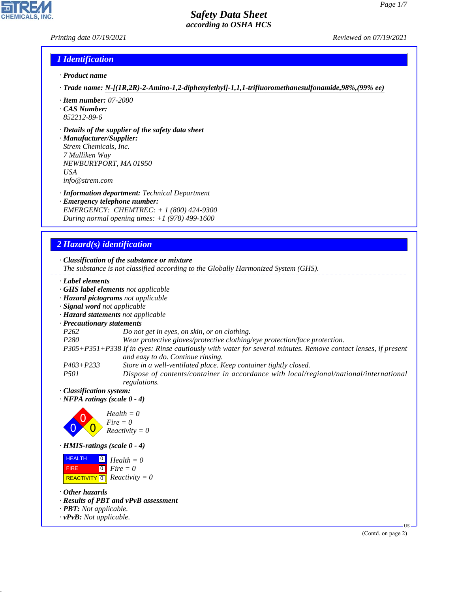### *Printing date 07/19/2021 Reviewed on 07/19/2021*

### *1 Identification*

- *· Product name*
- *· Trade name: N-[(1R,2R)-2-Amino-1,2-diphenylethyl]-1,1,1-trifluoromethanesulfonamide,98%,(99% ee)*
- *· Item number: 07-2080*
- *· CAS Number: 852212-89-6*
- *· Details of the supplier of the safety data sheet*

*· Manufacturer/Supplier: Strem Chemicals, Inc. 7 Mulliken Way NEWBURYPORT, MA 01950 USA info@strem.com*

- *· Information department: Technical Department*
- *· Emergency telephone number: EMERGENCY: CHEMTREC: + 1 (800) 424-9300 During normal opening times: +1 (978) 499-1600*

### *2 Hazard(s) identification*

*· Classification of the substance or mixture*

- *The substance is not classified according to the Globally Harmonized System (GHS).*
- *· Label elements*
- *· GHS label elements not applicable*
- *· Hazard pictograms not applicable*
- *· Signal word not applicable*
- *· Hazard statements not applicable*
- *· Precautionary statements*
- *P262 Do not get in eyes, on skin, or on clothing.*
- *P280 Wear protective gloves/protective clothing/eye protection/face protection.*

*P305+P351+P338 If in eyes: Rinse cautiously with water for several minutes. Remove contact lenses, if present and easy to do. Continue rinsing.*

*P403+P233 Store in a well-ventilated place. Keep container tightly closed.*

*P501 Dispose of contents/container in accordance with local/regional/national/international regulations.*

*· Classification system:*

*· NFPA ratings (scale 0 - 4)*



*· HMIS-ratings (scale 0 - 4)*

**HEALTH**  FIRE  $\boxed{\text{REACTIVITY} \boxed{0}}$  Reactivity = 0  $\overline{0}$  $\boxed{0}$ *Health = 0 Fire = 0*

*· Other hazards*

44.1.1

- *· Results of PBT and vPvB assessment*
- *· PBT: Not applicable.*
- *· vPvB: Not applicable.*

(Contd. on page 2)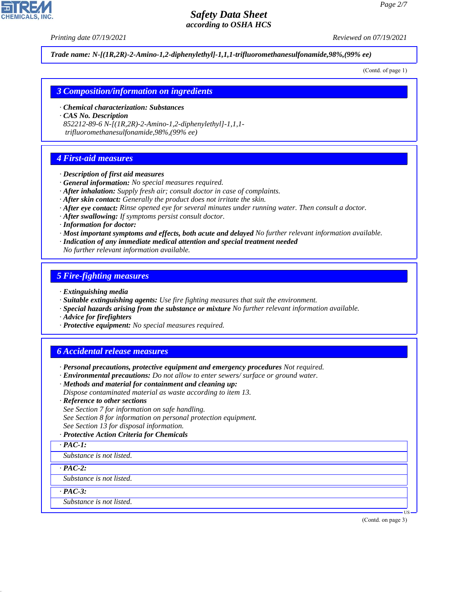*Printing date 07/19/2021 Reviewed on 07/19/2021*

*Trade name: N-[(1R,2R)-2-Amino-1,2-diphenylethyl]-1,1,1-trifluoromethanesulfonamide,98%,(99% ee)*

(Contd. of page 1)

### *3 Composition/information on ingredients*

- *· Chemical characterization: Substances*
- *· CAS No. Description*

*852212-89-6 N-[(1R,2R)-2-Amino-1,2-diphenylethyl]-1,1,1 trifluoromethanesulfonamide,98%,(99% ee)*

# *4 First-aid measures*

- *· Description of first aid measures*
- *· General information: No special measures required.*
- *· After inhalation: Supply fresh air; consult doctor in case of complaints.*
- *· After skin contact: Generally the product does not irritate the skin.*
- *· After eye contact: Rinse opened eye for several minutes under running water. Then consult a doctor.*
- *· After swallowing: If symptoms persist consult doctor.*
- *· Information for doctor:*
- *· Most important symptoms and effects, both acute and delayed No further relevant information available.*
- *· Indication of any immediate medical attention and special treatment needed*

*No further relevant information available.*

# *5 Fire-fighting measures*

- *· Extinguishing media*
- *· Suitable extinguishing agents: Use fire fighting measures that suit the environment.*
- *· Special hazards arising from the substance or mixture No further relevant information available.*
- *· Advice for firefighters*
- *· Protective equipment: No special measures required.*

# *6 Accidental release measures*

- *· Personal precautions, protective equipment and emergency procedures Not required.*
- *· Environmental precautions: Do not allow to enter sewers/ surface or ground water.*
- *· Methods and material for containment and cleaning up: Dispose contaminated material as waste according to item 13.*
- *· Reference to other sections*
- *See Section 7 for information on safe handling. See Section 8 for information on personal protection equipment. See Section 13 for disposal information.*
- *· Protective Action Criteria for Chemicals*
- *· PAC-1:*
- *Substance is not listed.*

*· PAC-2:*

*Substance is not listed.*

*· PAC-3:*

44.1.1

*Substance is not listed.*

(Contd. on page 3)

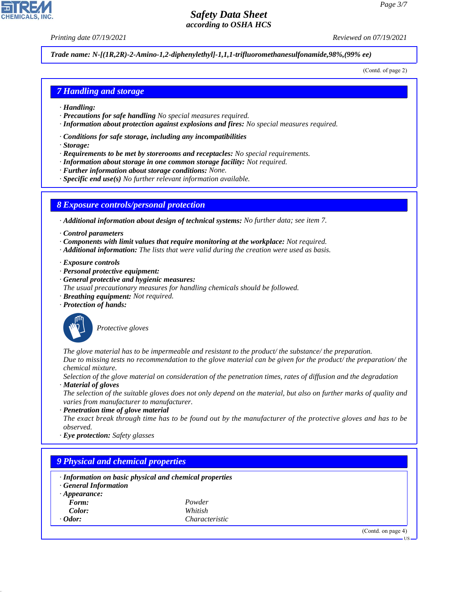# *Safety Data Sheet*

*Printing date 07/19/2021 Reviewed on 07/19/2021*

*Trade name: N-[(1R,2R)-2-Amino-1,2-diphenylethyl]-1,1,1-trifluoromethanesulfonamide,98%,(99% ee)*

(Contd. of page 2)

### *7 Handling and storage*

- *· Handling:*
- *· Precautions for safe handling No special measures required.*
- *· Information about protection against explosions and fires: No special measures required.*
- *· Conditions for safe storage, including any incompatibilities*
- *· Storage:*
- *· Requirements to be met by storerooms and receptacles: No special requirements.*
- *· Information about storage in one common storage facility: Not required.*
- *· Further information about storage conditions: None.*
- *· Specific end use(s) No further relevant information available.*

### *8 Exposure controls/personal protection*

*· Additional information about design of technical systems: No further data; see item 7.*

- *· Control parameters*
- *· Components with limit values that require monitoring at the workplace: Not required.*
- *· Additional information: The lists that were valid during the creation were used as basis.*
- *· Exposure controls*
- *· Personal protective equipment:*
- *· General protective and hygienic measures:*
- *The usual precautionary measures for handling chemicals should be followed.*
- *· Breathing equipment: Not required.*
- *· Protection of hands:*



\_S*Protective gloves*

*The glove material has to be impermeable and resistant to the product/ the substance/ the preparation. Due to missing tests no recommendation to the glove material can be given for the product/ the preparation/ the chemical mixture.*

*Selection of the glove material on consideration of the penetration times, rates of diffusion and the degradation*

*· Material of gloves*

*The selection of the suitable gloves does not only depend on the material, but also on further marks of quality and varies from manufacturer to manufacturer.*

*· Penetration time of glove material The exact break through time has to be found out by the manufacturer of the protective gloves and has to be observed.*

*· Eye protection: Safety glasses*

## *9 Physical and chemical properties*

- *· Information on basic physical and chemical properties*
- *· General Information*
- *· Appearance:*
	- *Form: Powder Color: Whitish*
- *Odor: Characteristic*

44.1.1

(Contd. on page 4)

US



# *according to OSHA HCS*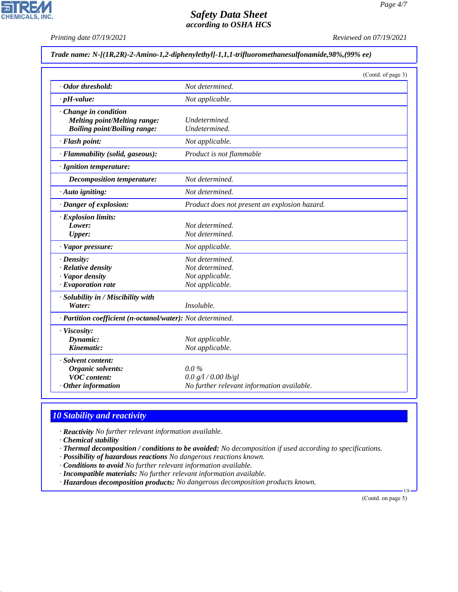*Printing date 07/19/2021 Reviewed on 07/19/2021*

### *Trade name: N-[(1R,2R)-2-Amino-1,2-diphenylethyl]-1,1,1-trifluoromethanesulfonamide,98%,(99% ee)*

|                                                            | (Contd. of page 3)                            |  |
|------------------------------------------------------------|-----------------------------------------------|--|
| · Odor threshold:                                          | Not determined.                               |  |
| $\cdot$ pH-value:                                          | Not applicable.                               |  |
| Change in condition                                        |                                               |  |
| <b>Melting point/Melting range:</b>                        | Undetermined.                                 |  |
| <b>Boiling point/Boiling range:</b>                        | Undetermined.                                 |  |
| · Flash point:                                             | Not applicable.                               |  |
| · Flammability (solid, gaseous):                           | Product is not flammable                      |  |
| · Ignition temperature:                                    |                                               |  |
| <b>Decomposition temperature:</b>                          | Not determined.                               |  |
| · Auto igniting:                                           | Not determined.                               |  |
| · Danger of explosion:                                     | Product does not present an explosion hazard. |  |
| · Explosion limits:                                        |                                               |  |
| Lower:                                                     | Not determined.                               |  |
| <b>Upper:</b>                                              | Not determined.                               |  |
| · Vapor pressure:                                          | Not applicable.                               |  |
| $\cdot$ Density:                                           | Not determined.                               |  |
| $\cdot$ Relative density                                   | Not determined.                               |  |
| · Vapor density                                            | Not applicable.                               |  |
| $\cdot$ Evaporation rate                                   | Not applicable.                               |  |
| · Solubility in / Miscibility with                         |                                               |  |
| Water:                                                     | Insoluble.                                    |  |
| · Partition coefficient (n-octanol/water): Not determined. |                                               |  |
| · Viscosity:                                               |                                               |  |
| Dynamic:                                                   | Not applicable.                               |  |
| Kinematic:                                                 | Not applicable.                               |  |
| · Solvent content:                                         |                                               |  |
| Organic solvents:                                          | $0.0\%$                                       |  |
| <b>VOC</b> content:                                        | 0.0 g/l / 0.00 lb/gl                          |  |
| $·$ Other information                                      | No further relevant information available.    |  |

# *10 Stability and reactivity*

*· Reactivity No further relevant information available.*

*· Chemical stability*

44.1.1

- *· Thermal decomposition / conditions to be avoided: No decomposition if used according to specifications.*
- *· Possibility of hazardous reactions No dangerous reactions known.*
- *· Conditions to avoid No further relevant information available.*
- *· Incompatible materials: No further relevant information available.*
- *· Hazardous decomposition products: No dangerous decomposition products known.*

(Contd. on page 5)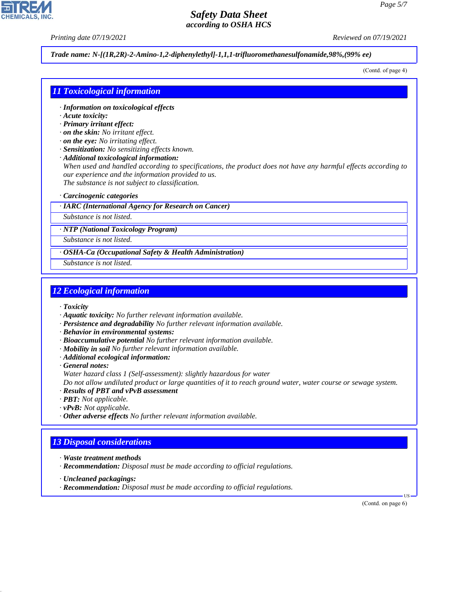*Printing date 07/19/2021 Reviewed on 07/19/2021*

*Trade name: N-[(1R,2R)-2-Amino-1,2-diphenylethyl]-1,1,1-trifluoromethanesulfonamide,98%,(99% ee)*

(Contd. of page 4)

### *11 Toxicological information*

- *· Information on toxicological effects*
- *· Acute toxicity:*
- *· Primary irritant effect:*
- *· on the skin: No irritant effect.*
- *· on the eye: No irritating effect.*
- *· Sensitization: No sensitizing effects known.*
- *· Additional toxicological information:*

*When used and handled according to specifications, the product does not have any harmful effects according to our experience and the information provided to us. The substance is not subject to classification.*

*· Carcinogenic categories*

*· IARC (International Agency for Research on Cancer)*

*Substance is not listed.*

*· NTP (National Toxicology Program)*

*Substance is not listed.*

*· OSHA-Ca (Occupational Safety & Health Administration)*

*Substance is not listed.*

### *12 Ecological information*

*· Toxicity*

- *· Aquatic toxicity: No further relevant information available.*
- *· Persistence and degradability No further relevant information available.*
- *· Behavior in environmental systems:*
- *· Bioaccumulative potential No further relevant information available.*
- *· Mobility in soil No further relevant information available.*
- *· Additional ecological information:*
- *· General notes:*
- *Water hazard class 1 (Self-assessment): slightly hazardous for water*

*Do not allow undiluted product or large quantities of it to reach ground water, water course or sewage system.*

- *· Results of PBT and vPvB assessment*
- *· PBT: Not applicable.*
- *· vPvB: Not applicable.*
- *· Other adverse effects No further relevant information available.*

## *13 Disposal considerations*

- *· Waste treatment methods*
- *· Recommendation: Disposal must be made according to official regulations.*
- *· Uncleaned packagings:*

44.1.1

*· Recommendation: Disposal must be made according to official regulations.*

(Contd. on page 6)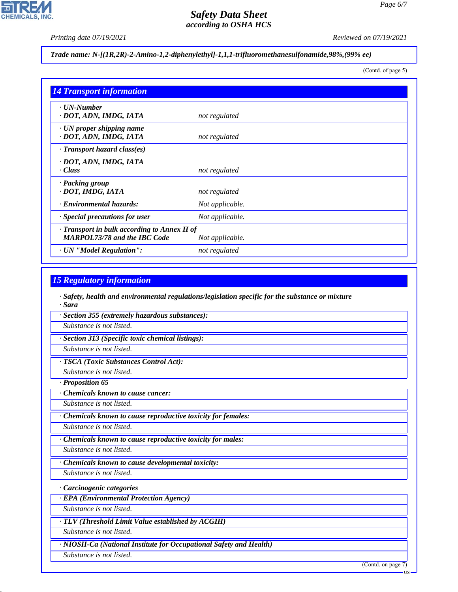*Page 6/7*

*Printing date 07/19/2021 Reviewed on 07/19/2021*

*Trade name: N-[(1R,2R)-2-Amino-1,2-diphenylethyl]-1,1,1-trifluoromethanesulfonamide,98%,(99% ee)*

(Contd. of page 5)

| <b>14 Transport information</b>                                                     |                 |
|-------------------------------------------------------------------------------------|-----------------|
| $\cdot$ UN-Number<br>· DOT, ADN, IMDG, IATA                                         | not regulated   |
| $\cdot$ UN proper shipping name<br>· DOT, ADN, IMDG, IATA                           | not regulated   |
| $\cdot$ Transport hazard class(es)                                                  |                 |
| · DOT, ADN, IMDG, IATA<br>· Class                                                   | not regulated   |
| · Packing group<br>· DOT, IMDG, IATA                                                | not regulated   |
| · Environmental hazards:                                                            | Not applicable. |
| · Special precautions for user                                                      | Not applicable. |
| · Transport in bulk according to Annex II of<br><b>MARPOL73/78 and the IBC Code</b> | Not applicable. |
| · UN "Model Regulation":                                                            | not regulated   |

# *15 Regulatory information*

*· Safety, health and environmental regulations/legislation specific for the substance or mixture · Sara*

*· Section 355 (extremely hazardous substances):*

*Substance is not listed.*

*· Section 313 (Specific toxic chemical listings):*

*Substance is not listed.*

*· TSCA (Toxic Substances Control Act):*

*Substance is not listed.*

*· Proposition 65*

*· Chemicals known to cause cancer:*

*Substance is not listed.*

*· Chemicals known to cause reproductive toxicity for females:*

*Substance is not listed.*

*· Chemicals known to cause reproductive toxicity for males:*

*Substance is not listed.*

*· Chemicals known to cause developmental toxicity:*

*Substance is not listed.*

*· Carcinogenic categories*

*· EPA (Environmental Protection Agency)*

*Substance is not listed.*

*· TLV (Threshold Limit Value established by ACGIH)*

*Substance is not listed.*

*· NIOSH-Ca (National Institute for Occupational Safety and Health)*

*Substance is not listed.*

44.1.1

(Contd. on page 7)